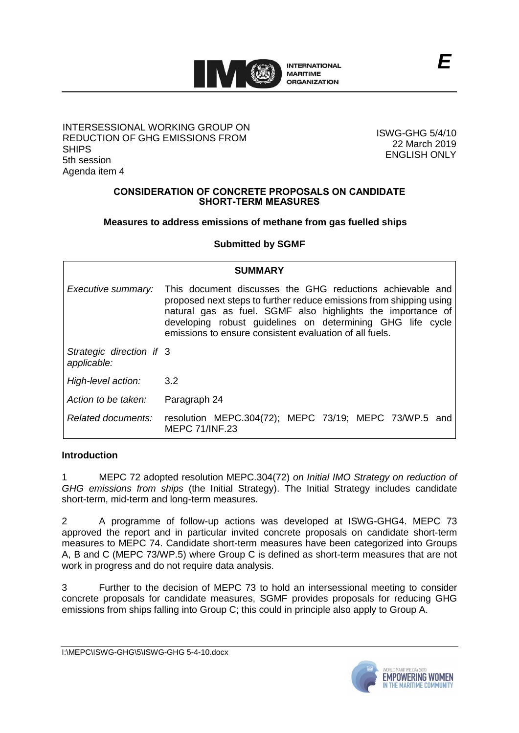

### INTERSESSIONAL WORKING GROUP ON REDUCTION OF GHG EMISSIONS FROM SHIPS 5th session Agenda item 4

ISWG-GHG 5/4/10 22 March 2019 ENGLISH ONLY

### **CONSIDERATION OF CONCRETE PROPOSALS ON CANDIDATE SHORT-TERM MEASURES**

## **Measures to address emissions of methane from gas fuelled ships**

# **Submitted by SGMF**

| <b>SUMMARY</b>                          |                                                                                                                                                                                                                                                                                                                          |
|-----------------------------------------|--------------------------------------------------------------------------------------------------------------------------------------------------------------------------------------------------------------------------------------------------------------------------------------------------------------------------|
| Executive summary:                      | This document discusses the GHG reductions achievable and<br>proposed next steps to further reduce emissions from shipping using<br>natural gas as fuel. SGMF also highlights the importance of<br>developing robust guidelines on determining GHG life cycle<br>emissions to ensure consistent evaluation of all fuels. |
| Strategic direction if 3<br>applicable: |                                                                                                                                                                                                                                                                                                                          |
| High-level action:                      | 3.2                                                                                                                                                                                                                                                                                                                      |
| Action to be taken:                     | Paragraph 24                                                                                                                                                                                                                                                                                                             |
| Related documents:                      | resolution MEPC.304(72); MEPC 73/19; MEPC 73/WP.5 and<br><b>MEPC 71/INF.23</b>                                                                                                                                                                                                                                           |

## **Introduction**

1 MEPC 72 adopted resolution MEPC.304(72) *on Initial IMO Strategy on reduction of GHG emissions from ships* (the Initial Strategy). The Initial Strategy includes candidate short-term, mid-term and long-term measures.

2 A programme of follow-up actions was developed at ISWG-GHG4. MEPC 73 approved the report and in particular invited concrete proposals on candidate short-term measures to MEPC 74. Candidate short-term measures have been categorized into Groups A, B and C (MEPC 73/WP.5) where Group C is defined as short-term measures that are not work in progress and do not require data analysis.

3 Further to the decision of MEPC 73 to hold an intersessional meeting to consider concrete proposals for candidate measures, SGMF provides proposals for reducing GHG emissions from ships falling into Group C; this could in principle also apply to Group A.

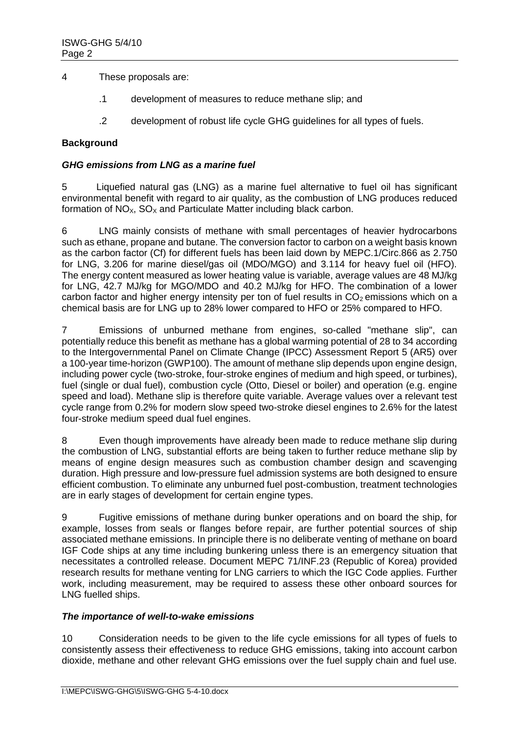4 These proposals are:

- .1 development of measures to reduce methane slip; and
- .2 development of robust life cycle GHG guidelines for all types of fuels.

## **Background**

### *GHG emissions from LNG as a marine fuel*

5 Liquefied natural gas (LNG) as a marine fuel alternative to fuel oil has significant environmental benefit with regard to air quality, as the combustion of LNG produces reduced formation of  $NO<sub>x</sub>$ ,  $SO<sub>x</sub>$  and Particulate Matter including black carbon.

6 LNG mainly consists of methane with small percentages of heavier hydrocarbons such as ethane, propane and butane. The conversion factor to carbon on a weight basis known as the carbon factor (Cf) for different fuels has been laid down by MEPC.1/Circ.866 as 2.750 for LNG, 3.206 for marine diesel/gas oil (MDO/MGO) and 3.114 for heavy fuel oil (HFO). The energy content measured as lower heating value is variable, average values are 48 MJ/kg for LNG, 42.7 MJ/kg for MGO/MDO and 40.2 MJ/kg for HFO. The combination of a lower carbon factor and higher energy intensity per ton of fuel results in  $CO<sub>2</sub>$  emissions which on a chemical basis are for LNG up to 28% lower compared to HFO or 25% compared to HFO.

7 Emissions of unburned methane from engines, so-called "methane slip", can potentially reduce this benefit as methane has a global warming potential of 28 to 34 according to the Intergovernmental Panel on Climate Change (IPCC) Assessment Report 5 (AR5) over a 100-year time-horizon (GWP100). The amount of methane slip depends upon engine design, including power cycle (two-stroke, four-stroke engines of medium and high speed, or turbines), fuel (single or dual fuel), combustion cycle (Otto, Diesel or boiler) and operation (e.g. engine speed and load). Methane slip is therefore quite variable. Average values over a relevant test cycle range from 0.2% for modern slow speed two-stroke diesel engines to 2.6% for the latest four-stroke medium speed dual fuel engines.

8 Even though improvements have already been made to reduce methane slip during the combustion of LNG, substantial efforts are being taken to further reduce methane slip by means of engine design measures such as combustion chamber design and scavenging duration. High pressure and low-pressure fuel admission systems are both designed to ensure efficient combustion. To eliminate any unburned fuel post-combustion, treatment technologies are in early stages of development for certain engine types.

9 Fugitive emissions of methane during bunker operations and on board the ship, for example, losses from seals or flanges before repair, are further potential sources of ship associated methane emissions. In principle there is no deliberate venting of methane on board IGF Code ships at any time including bunkering unless there is an emergency situation that necessitates a controlled release. Document MEPC 71/INF.23 (Republic of Korea) provided research results for methane venting for LNG carriers to which the IGC Code applies. Further work, including measurement, may be required to assess these other onboard sources for LNG fuelled ships.

## *The importance of well-to-wake emissions*

10 Consideration needs to be given to the life cycle emissions for all types of fuels to consistently assess their effectiveness to reduce GHG emissions, taking into account carbon dioxide, methane and other relevant GHG emissions over the fuel supply chain and fuel use.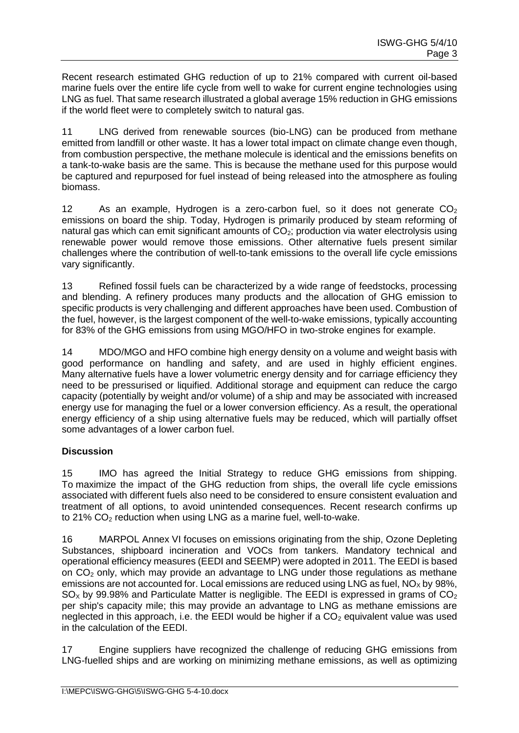Recent research estimated GHG reduction of up to 21% compared with current oil-based marine fuels over the entire life cycle from well to wake for current engine technologies using LNG as fuel. That same research illustrated a global average 15% reduction in GHG emissions if the world fleet were to completely switch to natural gas.

11 LNG derived from renewable sources (bio-LNG) can be produced from methane emitted from landfill or other waste. It has a lower total impact on climate change even though, from combustion perspective, the methane molecule is identical and the emissions benefits on a tank-to-wake basis are the same. This is because the methane used for this purpose would be captured and repurposed for fuel instead of being released into the atmosphere as fouling biomass.

12 As an example, Hydrogen is a zero-carbon fuel, so it does not generate  $CO<sub>2</sub>$ emissions on board the ship. Today, Hydrogen is primarily produced by steam reforming of natural gas which can emit significant amounts of  $CO<sub>2</sub>$ ; production via water electrolysis using renewable power would remove those emissions. Other alternative fuels present similar challenges where the contribution of well-to-tank emissions to the overall life cycle emissions vary significantly.

13 Refined fossil fuels can be characterized by a wide range of feedstocks, processing and blending. A refinery produces many products and the allocation of GHG emission to specific products is very challenging and different approaches have been used. Combustion of the fuel, however, is the largest component of the well-to-wake emissions, typically accounting for 83% of the GHG emissions from using MGO/HFO in two-stroke engines for example.

14 MDO/MGO and HFO combine high energy density on a volume and weight basis with good performance on handling and safety, and are used in highly efficient engines. Many alternative fuels have a lower volumetric energy density and for carriage efficiency they need to be pressurised or liquified. Additional storage and equipment can reduce the cargo capacity (potentially by weight and/or volume) of a ship and may be associated with increased energy use for managing the fuel or a lower conversion efficiency. As a result, the operational energy efficiency of a ship using alternative fuels may be reduced, which will partially offset some advantages of a lower carbon fuel.

# **Discussion**

15 IMO has agreed the Initial Strategy to reduce GHG emissions from shipping. To maximize the impact of the GHG reduction from ships, the overall life cycle emissions associated with different fuels also need to be considered to ensure consistent evaluation and treatment of all options, to avoid unintended consequences. Recent research confirms up to 21%  $CO<sub>2</sub>$  reduction when using LNG as a marine fuel, well-to-wake.

16 MARPOL Annex VI focuses on emissions originating from the ship, Ozone Depleting Substances, shipboard incineration and VOCs from tankers. Mandatory technical and operational efficiency measures (EEDI and SEEMP) were adopted in 2011. The EEDI is based on CO<sup>2</sup> only, which may provide an advantage to LNG under those regulations as methane emissions are not accounted for. Local emissions are reduced using LNG as fuel,  $NO<sub>x</sub>$  by 98%,  $SO<sub>X</sub>$  by 99.98% and Particulate Matter is negligible. The EEDI is expressed in grams of  $CO<sub>2</sub>$ per ship's capacity mile; this may provide an advantage to LNG as methane emissions are neglected in this approach, i.e. the EEDI would be higher if a  $CO<sub>2</sub>$  equivalent value was used in the calculation of the EEDI.

17 Engine suppliers have recognized the challenge of reducing GHG emissions from LNG-fuelled ships and are working on minimizing methane emissions, as well as optimizing